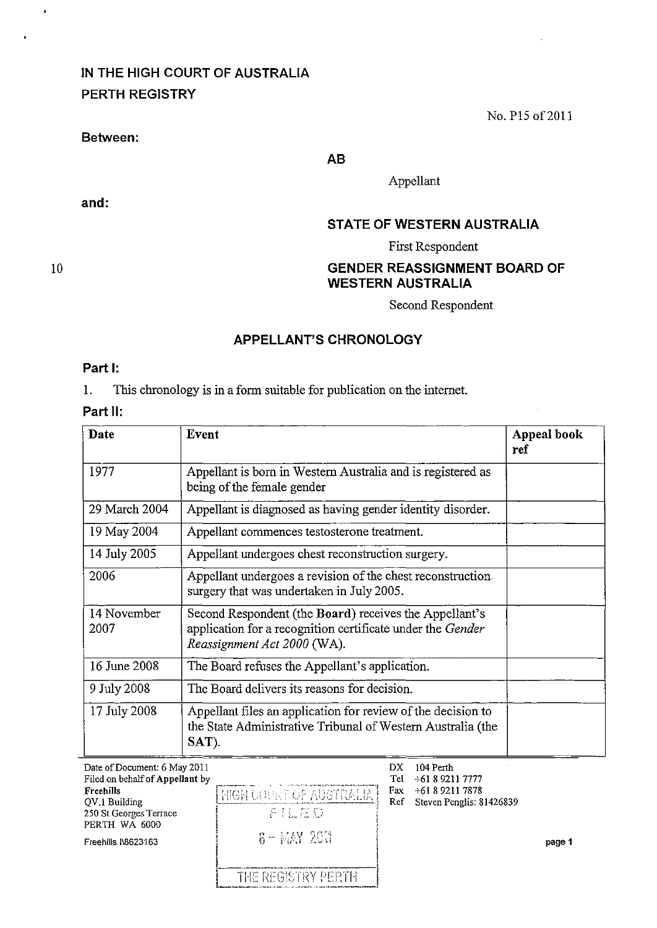# **IN THE HIGH COURT OF AUSTRALIA PERTH REGISTRY**

#### **Between:**

**and:** 

No. P15 of 2011

**AB** 

Appellant

### **STATE OF WESTERN AUSTRALIA**

First Respondent

## **GENDER REASSIGNMENT BOARD OF WESTERN AUSTRALIA**

Second Respondent

## **APPELLANT'S CHRONOLOGY**

#### **Part I:**

1. This chronology is in a form suitable for publication on the internet.

# **Part 11:**

| Date                | Event                                                                                                                                               | Appeal book<br>ref |
|---------------------|-----------------------------------------------------------------------------------------------------------------------------------------------------|--------------------|
| 1977                | Appellant is born in Western Australia and is registered as<br>being of the female gender                                                           |                    |
| 29 March 2004       | Appellant is diagnosed as having gender identity disorder.                                                                                          |                    |
| 19 May 2004         | Appellant commences testosterone treatment.                                                                                                         |                    |
| 14 July 2005        | Appellant undergoes chest reconstruction surgery.                                                                                                   |                    |
| 2006                | Appellant undergoes a revision of the chest reconstruction.<br>surgery that was undertaken in July 2005.                                            |                    |
| 14 November<br>2007 | Second Respondent (the Board) receives the Appellant's<br>application for a recognition certificate under the Gender<br>Reassignment Act 2000 (WA). |                    |
| 16 June 2008        | The Board refuses the Appellant's application.                                                                                                      |                    |
| 9 July 2008         | The Board delivers its reasons for decision.                                                                                                        |                    |
| 17 July 2008        | Appellant files an application for review of the decision to<br>the State Administrative Tribunal of Western Australia (the<br>SAT).                |                    |

| Date of Document: 6 May 2011<br>Filed on behalf of Appellant by<br>Freehills<br>QV.I Building<br>250 St Georges Terrace<br>PERTH WA 6000<br>Freehills I\8623163 | HIGH COURT OF AUSTRALIA!<br>手机在口<br>$6 - $ MAY 2611 | DX<br>Tel<br>Fax<br>Ref | 104 Perth<br>$+61892117777$<br>$+61892117878$<br>Steven Penglis: 81426839 | page 1 |
|-----------------------------------------------------------------------------------------------------------------------------------------------------------------|-----------------------------------------------------|-------------------------|---------------------------------------------------------------------------|--------|
|                                                                                                                                                                 | THE REGISTRY PERTH                                  |                         |                                                                           |        |

10

 $\cdot$